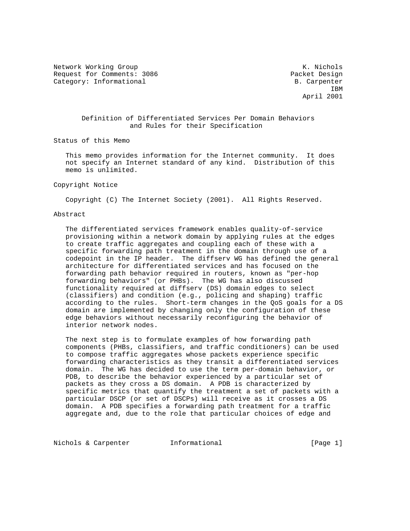Network Working Group Network Working Group Network Working Group Request for Comments: 3086 Packet Design Category: Informational B. Carpenter

**IBM IBM** April 2001

# Definition of Differentiated Services Per Domain Behaviors and Rules for their Specification

Status of this Memo

 This memo provides information for the Internet community. It does not specify an Internet standard of any kind. Distribution of this memo is unlimited.

#### Copyright Notice

Copyright (C) The Internet Society (2001). All Rights Reserved.

#### Abstract

 The differentiated services framework enables quality-of-service provisioning within a network domain by applying rules at the edges to create traffic aggregates and coupling each of these with a specific forwarding path treatment in the domain through use of a codepoint in the IP header. The diffserv WG has defined the general architecture for differentiated services and has focused on the forwarding path behavior required in routers, known as "per-hop forwarding behaviors" (or PHBs). The WG has also discussed functionality required at diffserv (DS) domain edges to select (classifiers) and condition (e.g., policing and shaping) traffic according to the rules. Short-term changes in the QoS goals for a DS domain are implemented by changing only the configuration of these edge behaviors without necessarily reconfiguring the behavior of interior network nodes.

 The next step is to formulate examples of how forwarding path components (PHBs, classifiers, and traffic conditioners) can be used to compose traffic aggregates whose packets experience specific forwarding characteristics as they transit a differentiated services domain. The WG has decided to use the term per-domain behavior, or PDB, to describe the behavior experienced by a particular set of packets as they cross a DS domain. A PDB is characterized by specific metrics that quantify the treatment a set of packets with a particular DSCP (or set of DSCPs) will receive as it crosses a DS domain. A PDB specifies a forwarding path treatment for a traffic aggregate and, due to the role that particular choices of edge and

Nichols & Carpenter 1nformational [Page 1]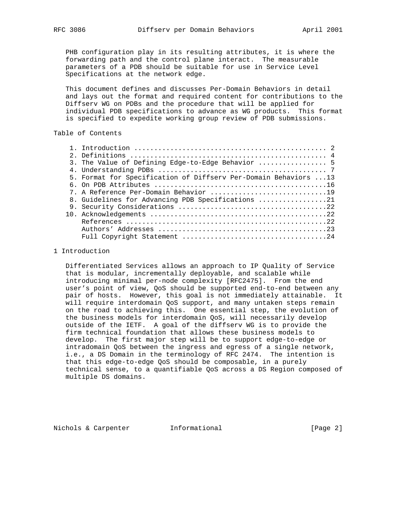PHB configuration play in its resulting attributes, it is where the

 forwarding path and the control plane interact. The measurable parameters of a PDB should be suitable for use in Service Level Specifications at the network edge.

 This document defines and discusses Per-Domain Behaviors in detail and lays out the format and required content for contributions to the Diffserv WG on PDBs and the procedure that will be applied for individual PDB specifications to advance as WG products. This format is specified to expedite working group review of PDB submissions.

# Table of Contents

| 3. The Value of Defining Edge-to-Edge Behavior  5                |
|------------------------------------------------------------------|
|                                                                  |
| 5. Format for Specification of Diffserv Per-Domain Behaviors  13 |
|                                                                  |
| 7. A Reference Per-Domain Behavior 19                            |
| 8. Guidelines for Advancing PDB Specifications 21                |
|                                                                  |
|                                                                  |
|                                                                  |
|                                                                  |
|                                                                  |
|                                                                  |

## 1 Introduction

 Differentiated Services allows an approach to IP Quality of Service that is modular, incrementally deployable, and scalable while introducing minimal per-node complexity [RFC2475]. From the end user's point of view, QoS should be supported end-to-end between any pair of hosts. However, this goal is not immediately attainable. It will require interdomain QoS support, and many untaken steps remain on the road to achieving this. One essential step, the evolution of the business models for interdomain QoS, will necessarily develop outside of the IETF. A goal of the diffserv WG is to provide the firm technical foundation that allows these business models to develop. The first major step will be to support edge-to-edge or intradomain QoS between the ingress and egress of a single network, i.e., a DS Domain in the terminology of RFC 2474. The intention is that this edge-to-edge QoS should be composable, in a purely technical sense, to a quantifiable QoS across a DS Region composed of multiple DS domains.

Nichols & Carpenter 1nformational [Page 2]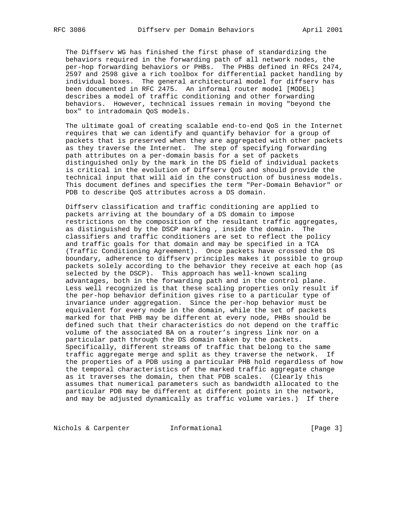The Diffserv WG has finished the first phase of standardizing the behaviors required in the forwarding path of all network nodes, the per-hop forwarding behaviors or PHBs. The PHBs defined in RFCs 2474, 2597 and 2598 give a rich toolbox for differential packet handling by individual boxes. The general architectural model for diffserv has been documented in RFC 2475. An informal router model [MODEL] describes a model of traffic conditioning and other forwarding behaviors. However, technical issues remain in moving "beyond the box" to intradomain QoS models.

 The ultimate goal of creating scalable end-to-end QoS in the Internet requires that we can identify and quantify behavior for a group of packets that is preserved when they are aggregated with other packets as they traverse the Internet. The step of specifying forwarding path attributes on a per-domain basis for a set of packets distinguished only by the mark in the DS field of individual packets is critical in the evolution of Diffserv QoS and should provide the technical input that will aid in the construction of business models. This document defines and specifies the term "Per-Domain Behavior" or PDB to describe QoS attributes across a DS domain.

 Diffserv classification and traffic conditioning are applied to packets arriving at the boundary of a DS domain to impose restrictions on the composition of the resultant traffic aggregates, as distinguished by the DSCP marking , inside the domain. The classifiers and traffic conditioners are set to reflect the policy and traffic goals for that domain and may be specified in a TCA (Traffic Conditioning Agreement). Once packets have crossed the DS boundary, adherence to diffserv principles makes it possible to group packets solely according to the behavior they receive at each hop (as selected by the DSCP). This approach has well-known scaling advantages, both in the forwarding path and in the control plane. Less well recognized is that these scaling properties only result if the per-hop behavior definition gives rise to a particular type of invariance under aggregation. Since the per-hop behavior must be equivalent for every node in the domain, while the set of packets marked for that PHB may be different at every node, PHBs should be defined such that their characteristics do not depend on the traffic volume of the associated BA on a router's ingress link nor on a particular path through the DS domain taken by the packets. Specifically, different streams of traffic that belong to the same traffic aggregate merge and split as they traverse the network. If the properties of a PDB using a particular PHB hold regardless of how the temporal characteristics of the marked traffic aggregate change as it traverses the domain, then that PDB scales. (Clearly this assumes that numerical parameters such as bandwidth allocated to the particular PDB may be different at different points in the network, and may be adjusted dynamically as traffic volume varies.) If there

Nichols & Carpenter **Informational** [Page 3]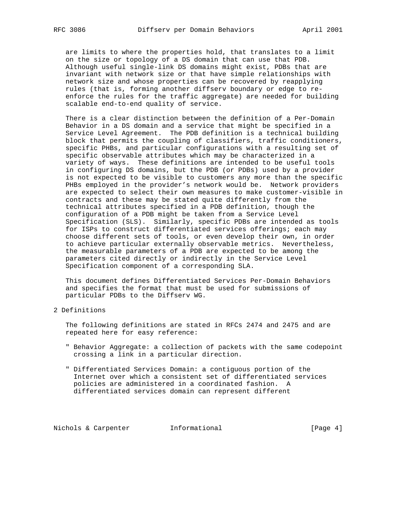are limits to where the properties hold, that translates to a limit on the size or topology of a DS domain that can use that PDB. Although useful single-link DS domains might exist, PDBs that are invariant with network size or that have simple relationships with network size and whose properties can be recovered by reapplying rules (that is, forming another diffserv boundary or edge to re enforce the rules for the traffic aggregate) are needed for building scalable end-to-end quality of service.

 There is a clear distinction between the definition of a Per-Domain Behavior in a DS domain and a service that might be specified in a Service Level Agreement. The PDB definition is a technical building block that permits the coupling of classifiers, traffic conditioners, specific PHBs, and particular configurations with a resulting set of specific observable attributes which may be characterized in a variety of ways. These definitions are intended to be useful tools in configuring DS domains, but the PDB (or PDBs) used by a provider is not expected to be visible to customers any more than the specific PHBs employed in the provider's network would be. Network providers are expected to select their own measures to make customer-visible in contracts and these may be stated quite differently from the technical attributes specified in a PDB definition, though the configuration of a PDB might be taken from a Service Level Specification (SLS). Similarly, specific PDBs are intended as tools for ISPs to construct differentiated services offerings; each may choose different sets of tools, or even develop their own, in order to achieve particular externally observable metrics. Nevertheless, the measurable parameters of a PDB are expected to be among the parameters cited directly or indirectly in the Service Level Specification component of a corresponding SLA.

 This document defines Differentiated Services Per-Domain Behaviors and specifies the format that must be used for submissions of particular PDBs to the Diffserv WG.

## 2 Definitions

 The following definitions are stated in RFCs 2474 and 2475 and are repeated here for easy reference:

- " Behavior Aggregate: a collection of packets with the same codepoint crossing a link in a particular direction.
- " Differentiated Services Domain: a contiguous portion of the Internet over which a consistent set of differentiated services policies are administered in a coordinated fashion. A differentiated services domain can represent different

Nichols & Carpenter 1nformational (Page 4)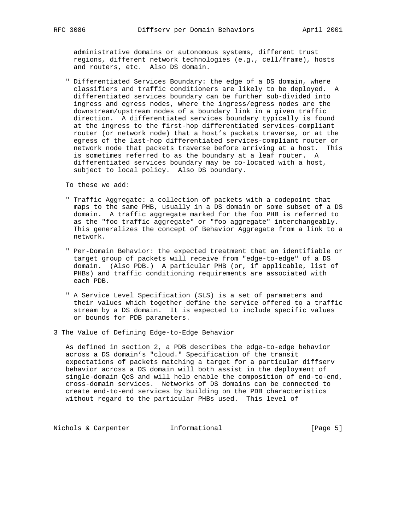administrative domains or autonomous systems, different trust regions, different network technologies (e.g., cell/frame), hosts and routers, etc. Also DS domain.

 " Differentiated Services Boundary: the edge of a DS domain, where classifiers and traffic conditioners are likely to be deployed. A differentiated services boundary can be further sub-divided into ingress and egress nodes, where the ingress/egress nodes are the downstream/upstream nodes of a boundary link in a given traffic direction. A differentiated services boundary typically is found at the ingress to the first-hop differentiated services-compliant router (or network node) that a host's packets traverse, or at the egress of the last-hop differentiated services-compliant router or network node that packets traverse before arriving at a host. This is sometimes referred to as the boundary at a leaf router. A differentiated services boundary may be co-located with a host, subject to local policy. Also DS boundary.

To these we add:

- " Traffic Aggregate: a collection of packets with a codepoint that maps to the same PHB, usually in a DS domain or some subset of a DS domain. A traffic aggregate marked for the foo PHB is referred to as the "foo traffic aggregate" or "foo aggregate" interchangeably. This generalizes the concept of Behavior Aggregate from a link to a network.
- " Per-Domain Behavior: the expected treatment that an identifiable or target group of packets will receive from "edge-to-edge" of a DS domain. (Also PDB.) A particular PHB (or, if applicable, list of PHBs) and traffic conditioning requirements are associated with each PDB.
- " A Service Level Specification (SLS) is a set of parameters and their values which together define the service offered to a traffic stream by a DS domain. It is expected to include specific values or bounds for PDB parameters.
- 3 The Value of Defining Edge-to-Edge Behavior

 As defined in section 2, a PDB describes the edge-to-edge behavior across a DS domain's "cloud." Specification of the transit expectations of packets matching a target for a particular diffserv behavior across a DS domain will both assist in the deployment of single-domain QoS and will help enable the composition of end-to-end, cross-domain services. Networks of DS domains can be connected to create end-to-end services by building on the PDB characteristics without regard to the particular PHBs used. This level of

Nichols & Carpenter **Informational** [Page 5]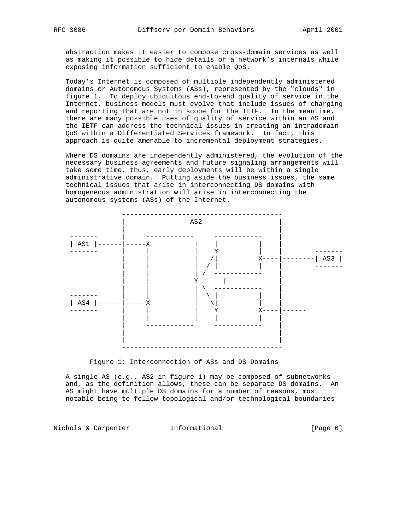abstraction makes it easier to compose cross-domain services as well as making it possible to hide details of a network's internals while exposing information sufficient to enable QoS.

 Today's Internet is composed of multiple independently administered domains or Autonomous Systems (ASs), represented by the "clouds" in figure 1. To deploy ubiquitous end-to-end quality of service in the Internet, business models must evolve that include issues of charging and reporting that are not in scope for the IETF. In the meantime, there are many possible uses of quality of service within an AS and the IETF can address the technical issues in creating an intradomain QoS within a Differentiated Services framework. In fact, this approach is quite amenable to incremental deployment strategies.

 Where DS domains are independently administered, the evolution of the necessary business agreements and future signaling arrangements will take some time, thus, early deployments will be within a single administrative domain. Putting aside the business issues, the same technical issues that arise in interconnecting DS domains with homogeneous administration will arise in interconnecting the autonomous systems (ASs) of the Internet.



Figure 1: Interconnection of ASs and DS Domains

 A single AS (e.g., AS2 in figure 1) may be composed of subnetworks and, as the definition allows, these can be separate DS domains. An AS might have multiple DS domains for a number of reasons, most notable being to follow topological and/or technological boundaries

Nichols & Carpenter 1nformational (Page 6)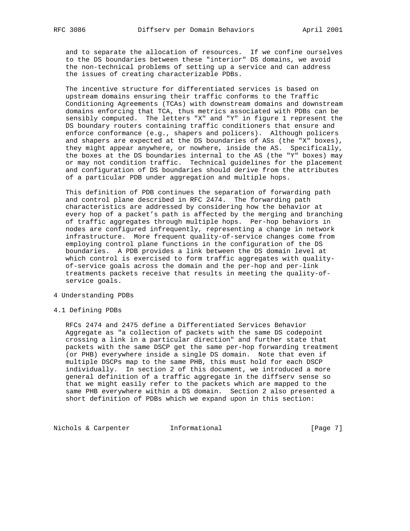and to separate the allocation of resources. If we confine ourselves to the DS boundaries between these "interior" DS domains, we avoid the non-technical problems of setting up a service and can address the issues of creating characterizable PDBs.

 The incentive structure for differentiated services is based on upstream domains ensuring their traffic conforms to the Traffic Conditioning Agreements (TCAs) with downstream domains and downstream domains enforcing that TCA, thus metrics associated with PDBs can be sensibly computed. The letters "X" and "Y" in figure 1 represent the DS boundary routers containing traffic conditioners that ensure and enforce conformance (e.g., shapers and policers). Although policers and shapers are expected at the DS boundaries of ASs (the "X" boxes), they might appear anywhere, or nowhere, inside the AS. Specifically, the boxes at the DS boundaries internal to the AS (the "Y" boxes) may or may not condition traffic. Technical guidelines for the placement and configuration of DS boundaries should derive from the attributes of a particular PDB under aggregation and multiple hops.

 This definition of PDB continues the separation of forwarding path and control plane described in RFC 2474. The forwarding path characteristics are addressed by considering how the behavior at every hop of a packet's path is affected by the merging and branching of traffic aggregates through multiple hops. Per-hop behaviors in nodes are configured infrequently, representing a change in network infrastructure. More frequent quality-of-service changes come from employing control plane functions in the configuration of the DS boundaries. A PDB provides a link between the DS domain level at which control is exercised to form traffic aggregates with quality of-service goals across the domain and the per-hop and per-link treatments packets receive that results in meeting the quality-of service goals.

## 4 Understanding PDBs

#### 4.1 Defining PDBs

 RFCs 2474 and 2475 define a Differentiated Services Behavior Aggregate as "a collection of packets with the same DS codepoint crossing a link in a particular direction" and further state that packets with the same DSCP get the same per-hop forwarding treatment (or PHB) everywhere inside a single DS domain. Note that even if multiple DSCPs map to the same PHB, this must hold for each DSCP individually. In section 2 of this document, we introduced a more general definition of a traffic aggregate in the diffserv sense so that we might easily refer to the packets which are mapped to the same PHB everywhere within a DS domain. Section 2 also presented a short definition of PDBs which we expand upon in this section:

Nichols & Carpenter **Informational Informational** [Page 7]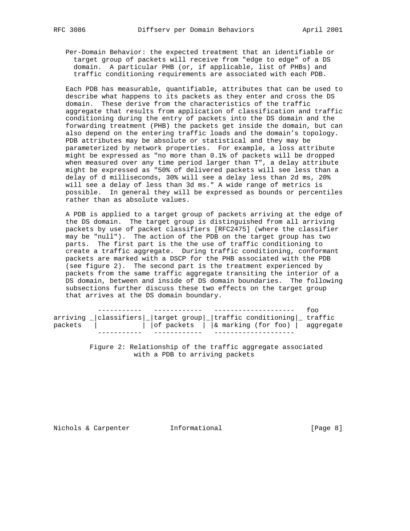Per-Domain Behavior: the expected treatment that an identifiable or target group of packets will receive from "edge to edge" of a DS domain. A particular PHB (or, if applicable, list of PHBs) and traffic conditioning requirements are associated with each PDB.

 Each PDB has measurable, quantifiable, attributes that can be used to describe what happens to its packets as they enter and cross the DS domain. These derive from the characteristics of the traffic aggregate that results from application of classification and traffic conditioning during the entry of packets into the DS domain and the forwarding treatment (PHB) the packets get inside the domain, but can also depend on the entering traffic loads and the domain's topology. PDB attributes may be absolute or statistical and they may be parameterized by network properties. For example, a loss attribute might be expressed as "no more than 0.1% of packets will be dropped when measured over any time period larger than T", a delay attribute might be expressed as "50% of delivered packets will see less than a delay of d milliseconds, 30% will see a delay less than 2d ms, 20% will see a delay of less than 3d ms." A wide range of metrics is possible. In general they will be expressed as bounds or percentiles rather than as absolute values.

 A PDB is applied to a target group of packets arriving at the edge of the DS domain. The target group is distinguished from all arriving packets by use of packet classifiers [RFC2475] (where the classifier may be "null"). The action of the PDB on the target group has two parts. The first part is the the use of traffic conditioning to create a traffic aggregate. During traffic conditioning, conformant packets are marked with a DSCP for the PHB associated with the PDB (see figure 2). The second part is the treatment experienced by packets from the same traffic aggregate transiting the interior of a DS domain, between and inside of DS domain boundaries. The following subsections further discuss these two effects on the target group that arrives at the DS domain boundary.

|         |                                                                          | $+00$ |
|---------|--------------------------------------------------------------------------|-------|
|         | $\text{array}$  classifiers  target group  traffic conditioning  traffic |       |
| packets | $\int$ of packets $\int$ a marking (for foo) aggregate                   |       |
|         |                                                                          |       |

 Figure 2: Relationship of the traffic aggregate associated with a PDB to arriving packets

Nichols & Carpenter 1nformational (Page 8)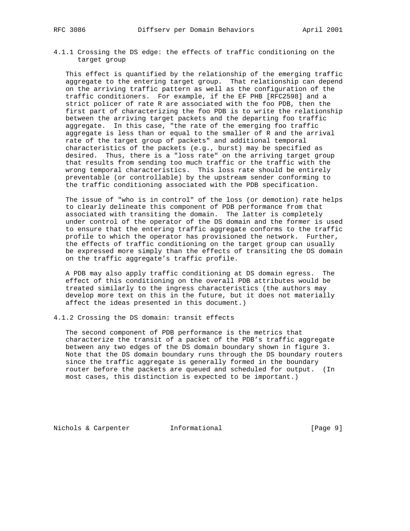4.1.1 Crossing the DS edge: the effects of traffic conditioning on the target group

 This effect is quantified by the relationship of the emerging traffic aggregate to the entering target group. That relationship can depend on the arriving traffic pattern as well as the configuration of the traffic conditioners. For example, if the EF PHB [RFC2598] and a strict policer of rate R are associated with the foo PDB, then the first part of characterizing the foo PDB is to write the relationship between the arriving target packets and the departing foo traffic aggregate. In this case, "the rate of the emerging foo traffic aggregate is less than or equal to the smaller of R and the arrival rate of the target group of packets" and additional temporal characteristics of the packets (e.g., burst) may be specified as desired. Thus, there is a "loss rate" on the arriving target group that results from sending too much traffic or the traffic with the wrong temporal characteristics. This loss rate should be entirely preventable (or controllable) by the upstream sender conforming to the traffic conditioning associated with the PDB specification.

 The issue of "who is in control" of the loss (or demotion) rate helps to clearly delineate this component of PDB performance from that associated with transiting the domain. The latter is completely under control of the operator of the DS domain and the former is used to ensure that the entering traffic aggregate conforms to the traffic profile to which the operator has provisioned the network. Further, the effects of traffic conditioning on the target group can usually be expressed more simply than the effects of transiting the DS domain on the traffic aggregate's traffic profile.

 A PDB may also apply traffic conditioning at DS domain egress. The effect of this conditioning on the overall PDB attributes would be treated similarly to the ingress characteristics (the authors may develop more text on this in the future, but it does not materially affect the ideas presented in this document.)

4.1.2 Crossing the DS domain: transit effects

 The second component of PDB performance is the metrics that characterize the transit of a packet of the PDB's traffic aggregate between any two edges of the DS domain boundary shown in figure 3. Note that the DS domain boundary runs through the DS boundary routers since the traffic aggregate is generally formed in the boundary router before the packets are queued and scheduled for output. (In most cases, this distinction is expected to be important.)

Nichols & Carpenter **Informational** [Page 9]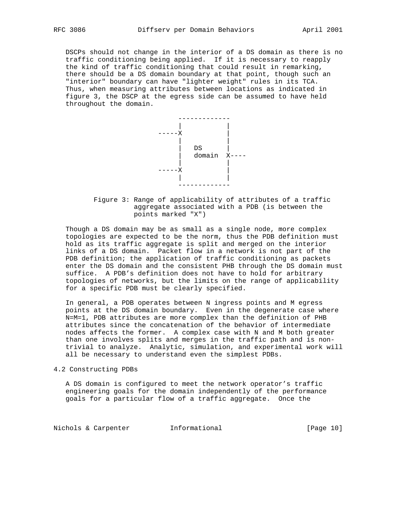DSCPs should not change in the interior of a DS domain as there is no traffic conditioning being applied. If it is necessary to reapply the kind of traffic conditioning that could result in remarking, there should be a DS domain boundary at that point, though such an "interior" boundary can have "lighter weight" rules in its TCA. Thus, when measuring attributes between locations as indicated in figure 3, the DSCP at the egress side can be assumed to have held throughout the domain.



 Figure 3: Range of applicability of attributes of a traffic aggregate associated with a PDB (is between the points marked "X")

 Though a DS domain may be as small as a single node, more complex topologies are expected to be the norm, thus the PDB definition must hold as its traffic aggregate is split and merged on the interior links of a DS domain. Packet flow in a network is not part of the PDB definition; the application of traffic conditioning as packets enter the DS domain and the consistent PHB through the DS domain must suffice. A PDB's definition does not have to hold for arbitrary topologies of networks, but the limits on the range of applicability for a specific PDB must be clearly specified.

 In general, a PDB operates between N ingress points and M egress points at the DS domain boundary. Even in the degenerate case where N=M=1, PDB attributes are more complex than the definition of PHB attributes since the concatenation of the behavior of intermediate nodes affects the former. A complex case with N and M both greater than one involves splits and merges in the traffic path and is non trivial to analyze. Analytic, simulation, and experimental work will all be necessary to understand even the simplest PDBs.

4.2 Constructing PDBs

 A DS domain is configured to meet the network operator's traffic engineering goals for the domain independently of the performance goals for a particular flow of a traffic aggregate. Once the

Nichols & Carpenter 1nformational [Page 10]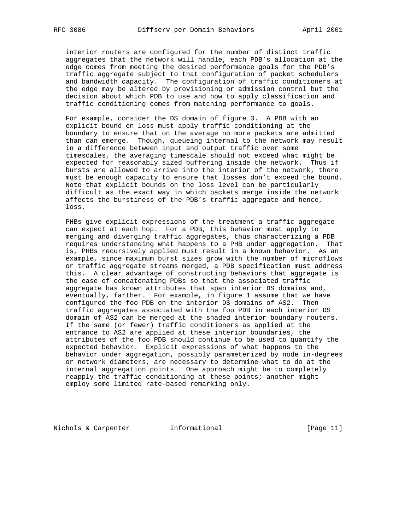interior routers are configured for the number of distinct traffic aggregates that the network will handle, each PDB's allocation at the edge comes from meeting the desired performance goals for the PDB's traffic aggregate subject to that configuration of packet schedulers and bandwidth capacity. The configuration of traffic conditioners at the edge may be altered by provisioning or admission control but the decision about which PDB to use and how to apply classification and traffic conditioning comes from matching performance to goals.

 For example, consider the DS domain of figure 3. A PDB with an explicit bound on loss must apply traffic conditioning at the boundary to ensure that on the average no more packets are admitted than can emerge. Though, queueing internal to the network may result in a difference between input and output traffic over some timescales, the averaging timescale should not exceed what might be expected for reasonably sized buffering inside the network. Thus if bursts are allowed to arrive into the interior of the network, there must be enough capacity to ensure that losses don't exceed the bound. Note that explicit bounds on the loss level can be particularly difficult as the exact way in which packets merge inside the network affects the burstiness of the PDB's traffic aggregate and hence, loss.

 PHBs give explicit expressions of the treatment a traffic aggregate can expect at each hop. For a PDB, this behavior must apply to merging and diverging traffic aggregates, thus characterizing a PDB requires understanding what happens to a PHB under aggregation. That is, PHBs recursively applied must result in a known behavior. As an example, since maximum burst sizes grow with the number of microflows or traffic aggregate streams merged, a PDB specification must address this. A clear advantage of constructing behaviors that aggregate is the ease of concatenating PDBs so that the associated traffic aggregate has known attributes that span interior DS domains and, eventually, farther. For example, in figure 1 assume that we have configured the foo PDB on the interior DS domains of AS2. Then traffic aggregates associated with the foo PDB in each interior DS domain of AS2 can be merged at the shaded interior boundary routers. If the same (or fewer) traffic conditioners as applied at the entrance to AS2 are applied at these interior boundaries, the attributes of the foo PDB should continue to be used to quantify the expected behavior. Explicit expressions of what happens to the behavior under aggregation, possibly parameterized by node in-degrees or network diameters, are necessary to determine what to do at the internal aggregation points. One approach might be to completely reapply the traffic conditioning at these points; another might employ some limited rate-based remarking only.

Nichols & Carpenter **Informational** [Page 11]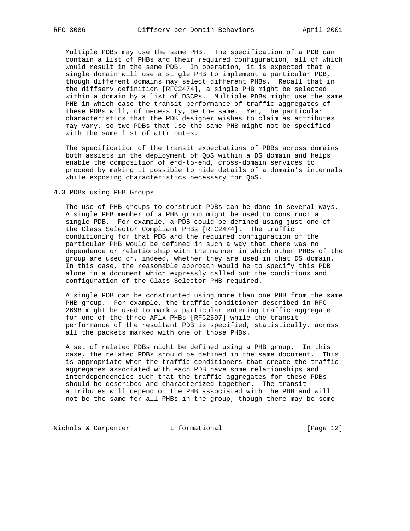Multiple PDBs may use the same PHB. The specification of a PDB can contain a list of PHBs and their required configuration, all of which would result in the same PDB. In operation, it is expected that a single domain will use a single PHB to implement a particular PDB, though different domains may select different PHBs. Recall that in the diffserv definition [RFC2474], a single PHB might be selected within a domain by a list of DSCPs. Multiple PDBs might use the same PHB in which case the transit performance of traffic aggregates of these PDBs will, of necessity, be the same. Yet, the particular characteristics that the PDB designer wishes to claim as attributes may vary, so two PDBs that use the same PHB might not be specified with the same list of attributes.

 The specification of the transit expectations of PDBs across domains both assists in the deployment of QoS within a DS domain and helps enable the composition of end-to-end, cross-domain services to proceed by making it possible to hide details of a domain's internals while exposing characteristics necessary for QoS.

## 4.3 PDBs using PHB Groups

 The use of PHB groups to construct PDBs can be done in several ways. A single PHB member of a PHB group might be used to construct a single PDB. For example, a PDB could be defined using just one of the Class Selector Compliant PHBs [RFC2474]. The traffic conditioning for that PDB and the required configuration of the particular PHB would be defined in such a way that there was no dependence or relationship with the manner in which other PHBs of the group are used or, indeed, whether they are used in that DS domain. In this case, the reasonable approach would be to specify this PDB alone in a document which expressly called out the conditions and configuration of the Class Selector PHB required.

 A single PDB can be constructed using more than one PHB from the same PHB group. For example, the traffic conditioner described in RFC 2698 might be used to mark a particular entering traffic aggregate for one of the three AF1x PHBs [RFC2597] while the transit performance of the resultant PDB is specified, statistically, across all the packets marked with one of those PHBs.

 A set of related PDBs might be defined using a PHB group. In this case, the related PDBs should be defined in the same document. This is appropriate when the traffic conditioners that create the traffic aggregates associated with each PDB have some relationships and interdependencies such that the traffic aggregates for these PDBs should be described and characterized together. The transit attributes will depend on the PHB associated with the PDB and will not be the same for all PHBs in the group, though there may be some

Nichols & Carpenter 1nformational [Page 12]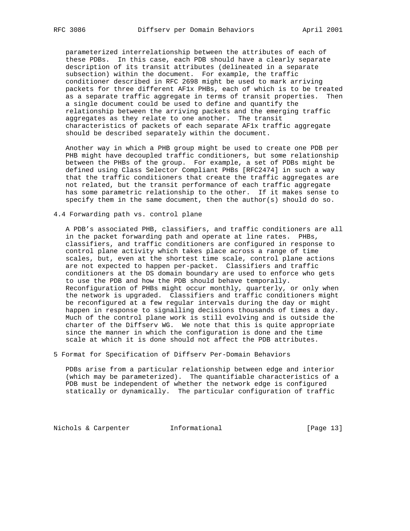parameterized interrelationship between the attributes of each of these PDBs. In this case, each PDB should have a clearly separate description of its transit attributes (delineated in a separate subsection) within the document. For example, the traffic conditioner described in RFC 2698 might be used to mark arriving packets for three different AF1x PHBs, each of which is to be treated as a separate traffic aggregate in terms of transit properties. Then a single document could be used to define and quantify the relationship between the arriving packets and the emerging traffic aggregates as they relate to one another. The transit characteristics of packets of each separate AF1x traffic aggregate should be described separately within the document.

 Another way in which a PHB group might be used to create one PDB per PHB might have decoupled traffic conditioners, but some relationship between the PHBs of the group. For example, a set of PDBs might be defined using Class Selector Compliant PHBs [RFC2474] in such a way that the traffic conditioners that create the traffic aggregates are not related, but the transit performance of each traffic aggregate has some parametric relationship to the other. If it makes sense to specify them in the same document, then the  $author(s)$  should do so.

4.4 Forwarding path vs. control plane

 A PDB's associated PHB, classifiers, and traffic conditioners are all in the packet forwarding path and operate at line rates. PHBs, classifiers, and traffic conditioners are configured in response to control plane activity which takes place across a range of time scales, but, even at the shortest time scale, control plane actions are not expected to happen per-packet. Classifiers and traffic conditioners at the DS domain boundary are used to enforce who gets to use the PDB and how the PDB should behave temporally. Reconfiguration of PHBs might occur monthly, quarterly, or only when the network is upgraded. Classifiers and traffic conditioners might be reconfigured at a few regular intervals during the day or might happen in response to signalling decisions thousands of times a day. Much of the control plane work is still evolving and is outside the charter of the Diffserv WG. We note that this is quite appropriate since the manner in which the configuration is done and the time scale at which it is done should not affect the PDB attributes.

5 Format for Specification of Diffserv Per-Domain Behaviors

 PDBs arise from a particular relationship between edge and interior (which may be parameterized). The quantifiable characteristics of a PDB must be independent of whether the network edge is configured statically or dynamically. The particular configuration of traffic

Nichols & Carpenter **Informational** [Page 13]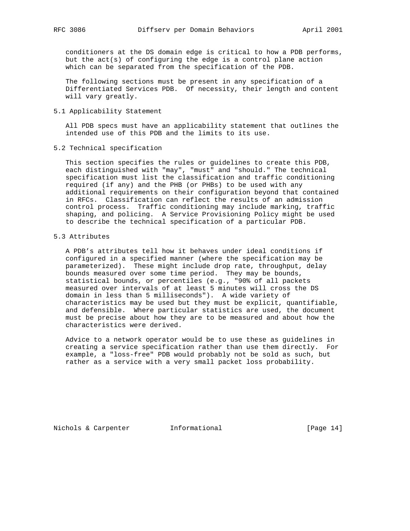conditioners at the DS domain edge is critical to how a PDB performs, but the  $act(s)$  of configuring the edge is a control plane action which can be separated from the specification of the PDB.

 The following sections must be present in any specification of a Differentiated Services PDB. Of necessity, their length and content will vary greatly.

5.1 Applicability Statement

 All PDB specs must have an applicability statement that outlines the intended use of this PDB and the limits to its use.

5.2 Technical specification

 This section specifies the rules or guidelines to create this PDB, each distinguished with "may", "must" and "should." The technical specification must list the classification and traffic conditioning required (if any) and the PHB (or PHBs) to be used with any additional requirements on their configuration beyond that contained in RFCs. Classification can reflect the results of an admission control process. Traffic conditioning may include marking, traffic shaping, and policing. A Service Provisioning Policy might be used to describe the technical specification of a particular PDB.

## 5.3 Attributes

 A PDB's attributes tell how it behaves under ideal conditions if configured in a specified manner (where the specification may be parameterized). These might include drop rate, throughput, delay bounds measured over some time period. They may be bounds, statistical bounds, or percentiles (e.g., "90% of all packets measured over intervals of at least 5 minutes will cross the DS domain in less than 5 milliseconds"). A wide variety of characteristics may be used but they must be explicit, quantifiable, and defensible. Where particular statistics are used, the document must be precise about how they are to be measured and about how the characteristics were derived.

 Advice to a network operator would be to use these as guidelines in creating a service specification rather than use them directly. For example, a "loss-free" PDB would probably not be sold as such, but rather as a service with a very small packet loss probability.

Nichols & Carpenter **Informational** [Page 14]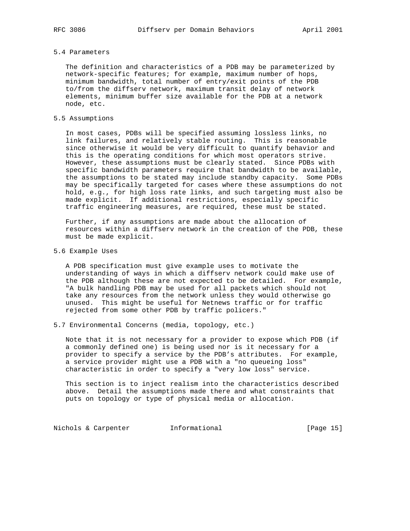# 5.4 Parameters

 The definition and characteristics of a PDB may be parameterized by network-specific features; for example, maximum number of hops, minimum bandwidth, total number of entry/exit points of the PDB to/from the diffserv network, maximum transit delay of network elements, minimum buffer size available for the PDB at a network node, etc.

### 5.5 Assumptions

 In most cases, PDBs will be specified assuming lossless links, no link failures, and relatively stable routing. This is reasonable since otherwise it would be very difficult to quantify behavior and this is the operating conditions for which most operators strive. However, these assumptions must be clearly stated. Since PDBs with specific bandwidth parameters require that bandwidth to be available, the assumptions to be stated may include standby capacity. Some PDBs may be specifically targeted for cases where these assumptions do not hold, e.g., for high loss rate links, and such targeting must also be made explicit. If additional restrictions, especially specific traffic engineering measures, are required, these must be stated.

 Further, if any assumptions are made about the allocation of resources within a diffserv network in the creation of the PDB, these must be made explicit.

5.6 Example Uses

 A PDB specification must give example uses to motivate the understanding of ways in which a diffserv network could make use of the PDB although these are not expected to be detailed. For example, "A bulk handling PDB may be used for all packets which should not take any resources from the network unless they would otherwise go unused. This might be useful for Netnews traffic or for traffic rejected from some other PDB by traffic policers."

5.7 Environmental Concerns (media, topology, etc.)

 Note that it is not necessary for a provider to expose which PDB (if a commonly defined one) is being used nor is it necessary for a provider to specify a service by the PDB's attributes. For example, a service provider might use a PDB with a "no queueing loss" characteristic in order to specify a "very low loss" service.

 This section is to inject realism into the characteristics described above. Detail the assumptions made there and what constraints that puts on topology or type of physical media or allocation.

Nichols & Carpenter **Informational** [Page 15]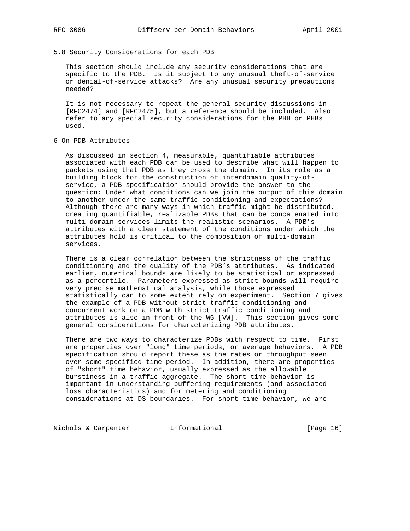#### 5.8 Security Considerations for each PDB

 This section should include any security considerations that are specific to the PDB. Is it subject to any unusual theft-of-service or denial-of-service attacks? Are any unusual security precautions needed?

 It is not necessary to repeat the general security discussions in [RFC2474] and [RFC2475], but a reference should be included. Also refer to any special security considerations for the PHB or PHBs used.

6 On PDB Attributes

 As discussed in section 4, measurable, quantifiable attributes associated with each PDB can be used to describe what will happen to packets using that PDB as they cross the domain. In its role as a building block for the construction of interdomain quality-of service, a PDB specification should provide the answer to the question: Under what conditions can we join the output of this domain to another under the same traffic conditioning and expectations? Although there are many ways in which traffic might be distributed, creating quantifiable, realizable PDBs that can be concatenated into multi-domain services limits the realistic scenarios. A PDB's attributes with a clear statement of the conditions under which the attributes hold is critical to the composition of multi-domain services.

 There is a clear correlation between the strictness of the traffic conditioning and the quality of the PDB's attributes. As indicated earlier, numerical bounds are likely to be statistical or expressed as a percentile. Parameters expressed as strict bounds will require very precise mathematical analysis, while those expressed statistically can to some extent rely on experiment. Section 7 gives the example of a PDB without strict traffic conditioning and concurrent work on a PDB with strict traffic conditioning and attributes is also in front of the WG [VW]. This section gives some general considerations for characterizing PDB attributes.

 There are two ways to characterize PDBs with respect to time. First are properties over "long" time periods, or average behaviors. A PDB specification should report these as the rates or throughput seen over some specified time period. In addition, there are properties of "short" time behavior, usually expressed as the allowable burstiness in a traffic aggregate. The short time behavior is important in understanding buffering requirements (and associated loss characteristics) and for metering and conditioning considerations at DS boundaries. For short-time behavior, we are

Nichols & Carpenter **Informational** [Page 16]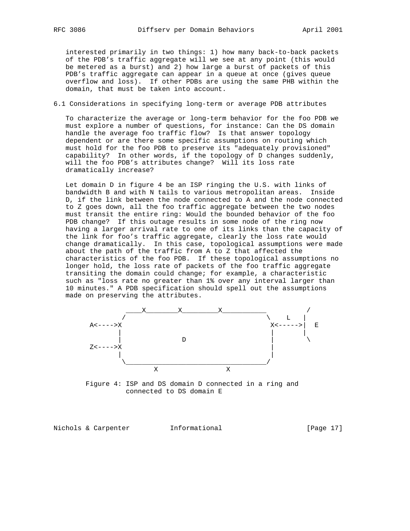interested primarily in two things: 1) how many back-to-back packets of the PDB's traffic aggregate will we see at any point (this would be metered as a burst) and 2) how large a burst of packets of this PDB's traffic aggregate can appear in a queue at once (gives queue overflow and loss). If other PDBs are using the same PHB within the domain, that must be taken into account.

6.1 Considerations in specifying long-term or average PDB attributes

 To characterize the average or long-term behavior for the foo PDB we must explore a number of questions, for instance: Can the DS domain handle the average foo traffic flow? Is that answer topology dependent or are there some specific assumptions on routing which must hold for the foo PDB to preserve its "adequately provisioned" capability? In other words, if the topology of D changes suddenly, will the foo PDB's attributes change? Will its loss rate dramatically increase?

 Let domain D in figure 4 be an ISP ringing the U.S. with links of bandwidth B and with N tails to various metropolitan areas. Inside D, if the link between the node connected to A and the node connected to Z goes down, all the foo traffic aggregate between the two nodes must transit the entire ring: Would the bounded behavior of the foo PDB change? If this outage results in some node of the ring now having a larger arrival rate to one of its links than the capacity of the link for foo's traffic aggregate, clearly the loss rate would change dramatically. In this case, topological assumptions were made about the path of the traffic from A to Z that affected the characteristics of the foo PDB. If these topological assumptions no longer hold, the loss rate of packets of the foo traffic aggregate transiting the domain could change; for example, a characteristic such as "loss rate no greater than 1% over any interval larger than 10 minutes." A PDB specification should spell out the assumptions made on preserving the attributes.



 Figure 4: ISP and DS domain D connected in a ring and connected to DS domain E

Nichols & Carpenter **Informational** [Page 17]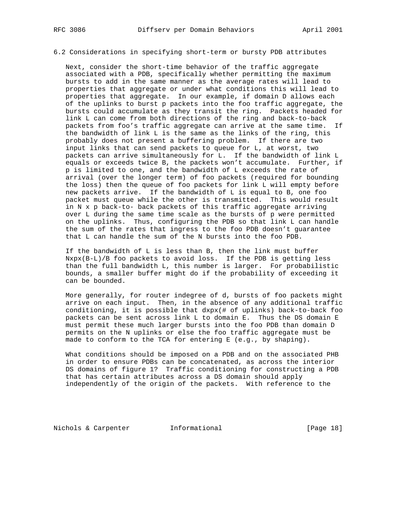# 6.2 Considerations in specifying short-term or bursty PDB attributes

 Next, consider the short-time behavior of the traffic aggregate associated with a PDB, specifically whether permitting the maximum bursts to add in the same manner as the average rates will lead to properties that aggregate or under what conditions this will lead to properties that aggregate. In our example, if domain D allows each of the uplinks to burst p packets into the foo traffic aggregate, the bursts could accumulate as they transit the ring. Packets headed for link L can come from both directions of the ring and back-to-back packets from foo's traffic aggregate can arrive at the same time. If the bandwidth of link L is the same as the links of the ring, this probably does not present a buffering problem. If there are two input links that can send packets to queue for L, at worst, two packets can arrive simultaneously for L. If the bandwidth of link L equals or exceeds twice B, the packets won't accumulate. Further, if p is limited to one, and the bandwidth of L exceeds the rate of arrival (over the longer term) of foo packets (required for bounding the loss) then the queue of foo packets for link L will empty before new packets arrive. If the bandwidth of L is equal to B, one foo packet must queue while the other is transmitted. This would result in N x p back-to- back packets of this traffic aggregate arriving over L during the same time scale as the bursts of p were permitted on the uplinks. Thus, configuring the PDB so that link L can handle the sum of the rates that ingress to the foo PDB doesn't guarantee that L can handle the sum of the N bursts into the foo PDB.

 If the bandwidth of L is less than B, then the link must buffer Nxpx(B-L)/B foo packets to avoid loss. If the PDB is getting less than the full bandwidth L, this number is larger. For probabilistic bounds, a smaller buffer might do if the probability of exceeding it can be bounded.

 More generally, for router indegree of d, bursts of foo packets might arrive on each input. Then, in the absence of any additional traffic conditioning, it is possible that dxpx(# of uplinks) back-to-back foo packets can be sent across link L to domain E. Thus the DS domain E must permit these much larger bursts into the foo PDB than domain D permits on the N uplinks or else the foo traffic aggregate must be made to conform to the TCA for entering E (e.g., by shaping).

 What conditions should be imposed on a PDB and on the associated PHB in order to ensure PDBs can be concatenated, as across the interior DS domains of figure 1? Traffic conditioning for constructing a PDB that has certain attributes across a DS domain should apply independently of the origin of the packets. With reference to the

Nichols & Carpenter 1nformational [Page 18]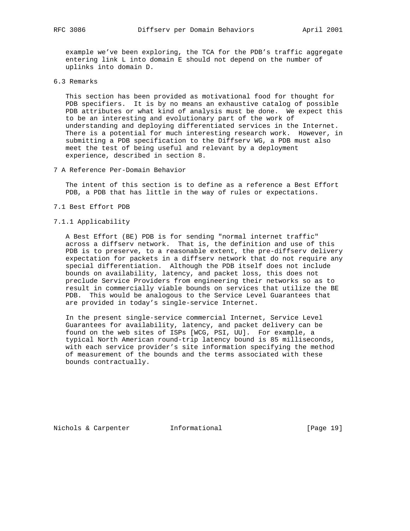example we've been exploring, the TCA for the PDB's traffic aggregate entering link L into domain E should not depend on the number of uplinks into domain D.

6.3 Remarks

 This section has been provided as motivational food for thought for PDB specifiers. It is by no means an exhaustive catalog of possible PDB attributes or what kind of analysis must be done. We expect this to be an interesting and evolutionary part of the work of understanding and deploying differentiated services in the Internet. There is a potential for much interesting research work. However, in submitting a PDB specification to the Diffserv WG, a PDB must also meet the test of being useful and relevant by a deployment experience, described in section 8.

7 A Reference Per-Domain Behavior

 The intent of this section is to define as a reference a Best Effort PDB, a PDB that has little in the way of rules or expectations.

- 7.1 Best Effort PDB
- 7.1.1 Applicability

 A Best Effort (BE) PDB is for sending "normal internet traffic" across a diffserv network. That is, the definition and use of this PDB is to preserve, to a reasonable extent, the pre-diffserv delivery expectation for packets in a diffserv network that do not require any special differentiation. Although the PDB itself does not include bounds on availability, latency, and packet loss, this does not preclude Service Providers from engineering their networks so as to result in commercially viable bounds on services that utilize the BE PDB. This would be analogous to the Service Level Guarantees that are provided in today's single-service Internet.

 In the present single-service commercial Internet, Service Level Guarantees for availability, latency, and packet delivery can be found on the web sites of ISPs [WCG, PSI, UU]. For example, a typical North American round-trip latency bound is 85 milliseconds, with each service provider's site information specifying the method of measurement of the bounds and the terms associated with these bounds contractually.

Nichols & Carpenter Informational [Page 19]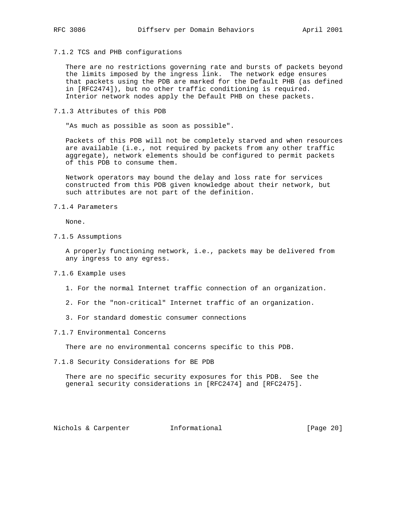7.1.2 TCS and PHB configurations

 There are no restrictions governing rate and bursts of packets beyond the limits imposed by the ingress link. The network edge ensures that packets using the PDB are marked for the Default PHB (as defined in [RFC2474]), but no other traffic conditioning is required. Interior network nodes apply the Default PHB on these packets.

7.1.3 Attributes of this PDB

"As much as possible as soon as possible".

 Packets of this PDB will not be completely starved and when resources are available (i.e., not required by packets from any other traffic aggregate), network elements should be configured to permit packets of this PDB to consume them.

 Network operators may bound the delay and loss rate for services constructed from this PDB given knowledge about their network, but such attributes are not part of the definition.

#### 7.1.4 Parameters

None.

7.1.5 Assumptions

 A properly functioning network, i.e., packets may be delivered from any ingress to any egress.

- 7.1.6 Example uses
	- 1. For the normal Internet traffic connection of an organization.
	- 2. For the "non-critical" Internet traffic of an organization.
	- 3. For standard domestic consumer connections
- 7.1.7 Environmental Concerns

There are no environmental concerns specific to this PDB.

7.1.8 Security Considerations for BE PDB

 There are no specific security exposures for this PDB. See the general security considerations in [RFC2474] and [RFC2475].

Nichols & Carpenter **Informational** [Page 20]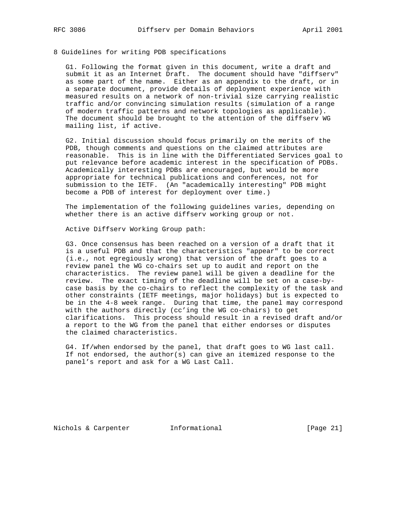## 8 Guidelines for writing PDB specifications

 G1. Following the format given in this document, write a draft and submit it as an Internet Draft. The document should have "diffserv" as some part of the name. Either as an appendix to the draft, or in a separate document, provide details of deployment experience with measured results on a network of non-trivial size carrying realistic traffic and/or convincing simulation results (simulation of a range of modern traffic patterns and network topologies as applicable). The document should be brought to the attention of the diffserv WG mailing list, if active.

 G2. Initial discussion should focus primarily on the merits of the PDB, though comments and questions on the claimed attributes are reasonable. This is in line with the Differentiated Services goal to put relevance before academic interest in the specification of PDBs. Academically interesting PDBs are encouraged, but would be more appropriate for technical publications and conferences, not for submission to the IETF. (An "academically interesting" PDB might become a PDB of interest for deployment over time.)

 The implementation of the following guidelines varies, depending on whether there is an active diffserv working group or not.

Active Diffserv Working Group path:

 G3. Once consensus has been reached on a version of a draft that it is a useful PDB and that the characteristics "appear" to be correct (i.e., not egregiously wrong) that version of the draft goes to a review panel the WG co-chairs set up to audit and report on the characteristics. The review panel will be given a deadline for the review. The exact timing of the deadline will be set on a case-by case basis by the co-chairs to reflect the complexity of the task and other constraints (IETF meetings, major holidays) but is expected to be in the 4-8 week range. During that time, the panel may correspond with the authors directly (cc'ing the WG co-chairs) to get clarifications. This process should result in a revised draft and/or a report to the WG from the panel that either endorses or disputes the claimed characteristics.

 G4. If/when endorsed by the panel, that draft goes to WG last call. If not endorsed, the author(s) can give an itemized response to the panel's report and ask for a WG Last Call.

Nichols & Carpenter **Informational** [Page 21]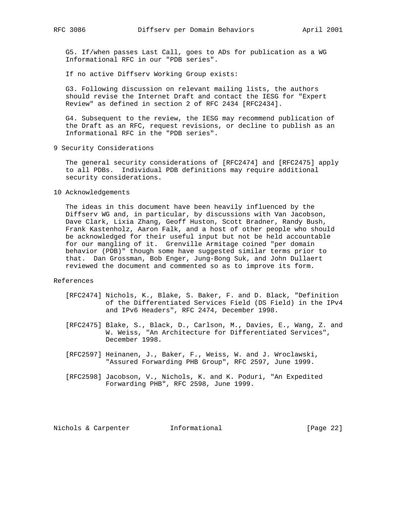G5. If/when passes Last Call, goes to ADs for publication as a WG Informational RFC in our "PDB series".

If no active Diffserv Working Group exists:

 G3. Following discussion on relevant mailing lists, the authors should revise the Internet Draft and contact the IESG for "Expert Review" as defined in section 2 of RFC 2434 [RFC2434].

 G4. Subsequent to the review, the IESG may recommend publication of the Draft as an RFC, request revisions, or decline to publish as an Informational RFC in the "PDB series".

9 Security Considerations

 The general security considerations of [RFC2474] and [RFC2475] apply to all PDBs. Individual PDB definitions may require additional security considerations.

10 Acknowledgements

 The ideas in this document have been heavily influenced by the Diffserv WG and, in particular, by discussions with Van Jacobson, Dave Clark, Lixia Zhang, Geoff Huston, Scott Bradner, Randy Bush, Frank Kastenholz, Aaron Falk, and a host of other people who should be acknowledged for their useful input but not be held accountable for our mangling of it. Grenville Armitage coined "per domain behavior (PDB)" though some have suggested similar terms prior to that. Dan Grossman, Bob Enger, Jung-Bong Suk, and John Dullaert reviewed the document and commented so as to improve its form.

#### References

- [RFC2474] Nichols, K., Blake, S. Baker, F. and D. Black, "Definition of the Differentiated Services Field (DS Field) in the IPv4 and IPv6 Headers", RFC 2474, December 1998.
- [RFC2475] Blake, S., Black, D., Carlson, M., Davies, E., Wang, Z. and W. Weiss, "An Architecture for Differentiated Services", December 1998.
- [RFC2597] Heinanen, J., Baker, F., Weiss, W. and J. Wroclawski, "Assured Forwarding PHB Group", RFC 2597, June 1999.
- [RFC2598] Jacobson, V., Nichols, K. and K. Poduri, "An Expedited Forwarding PHB", RFC 2598, June 1999.

Nichols & Carpenter Informational [Page 22]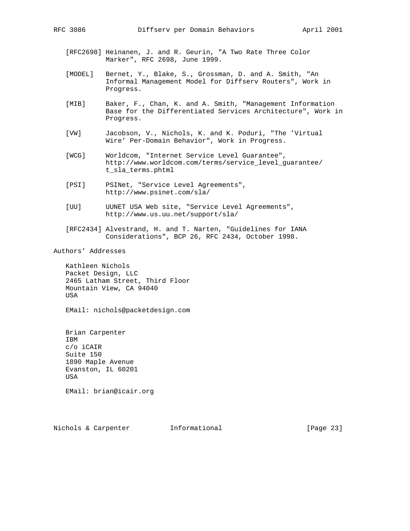- [RFC2698] Heinanen, J. and R. Geurin, "A Two Rate Three Color Marker", RFC 2698, June 1999.
- [MODEL] Bernet, Y., Blake, S., Grossman, D. and A. Smith, "An Informal Management Model for Diffserv Routers", Work in Progress.
- [MIB] Baker, F., Chan, K. and A. Smith, "Management Information Base for the Differentiated Services Architecture", Work in Progress.
- [VW] Jacobson, V., Nichols, K. and K. Poduri, "The 'Virtual Wire' Per-Domain Behavior", Work in Progress.
- [WCG] Worldcom, "Internet Service Level Guarantee", http://www.worldcom.com/terms/service\_level\_guarantee/ t\_sla\_terms.phtml
- [PSI] PSINet, "Service Level Agreements", http://www.psinet.com/sla/
- [UU] UUNET USA Web site, "Service Level Agreements", http://www.us.uu.net/support/sla/
- [RFC2434] Alvestrand, H. and T. Narten, "Guidelines for IANA Considerations", BCP 26, RFC 2434, October 1998.

Authors' Addresses

 Kathleen Nichols Packet Design, LLC 2465 Latham Street, Third Floor Mountain View, CA 94040 USA

EMail: nichols@packetdesign.com

 Brian Carpenter IBM c/o iCAIR Suite 150 1890 Maple Avenue Evanston, IL 60201 USA

EMail: brian@icair.org

Nichols & Carpenter **Informational** [Page 23]